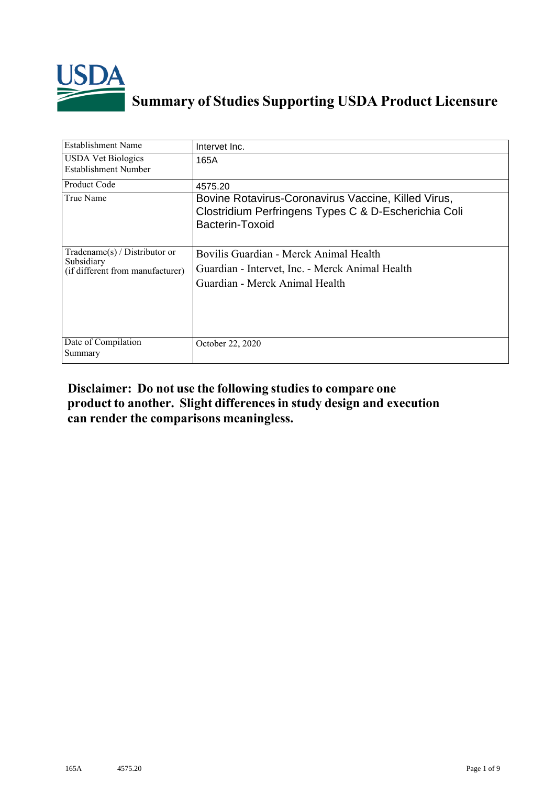

# **Summary of Studies Supporting USDA Product Licensure**

| <b>Establishment Name</b>                                                          | Intervet Inc.                                                                                                                  |
|------------------------------------------------------------------------------------|--------------------------------------------------------------------------------------------------------------------------------|
| <b>USDA Vet Biologics</b><br>Establishment Number                                  | 165A                                                                                                                           |
| Product Code                                                                       | 4575.20                                                                                                                        |
| True Name                                                                          | Bovine Rotavirus-Coronavirus Vaccine, Killed Virus,<br>Clostridium Perfringens Types C & D-Escherichia Coli<br>Bacterin-Toxoid |
| Tradename $(s)$ / Distributor or<br>Subsidiary<br>(if different from manufacturer) | Bovilis Guardian - Merck Animal Health<br>Guardian - Intervet, Inc. - Merck Animal Health<br>Guardian - Merck Animal Health    |
| Date of Compilation<br>Summary                                                     | October 22, 2020                                                                                                               |

## **Disclaimer: Do not use the following studiesto compare one product to another. Slight differencesin study design and execution can render the comparisons meaningless.**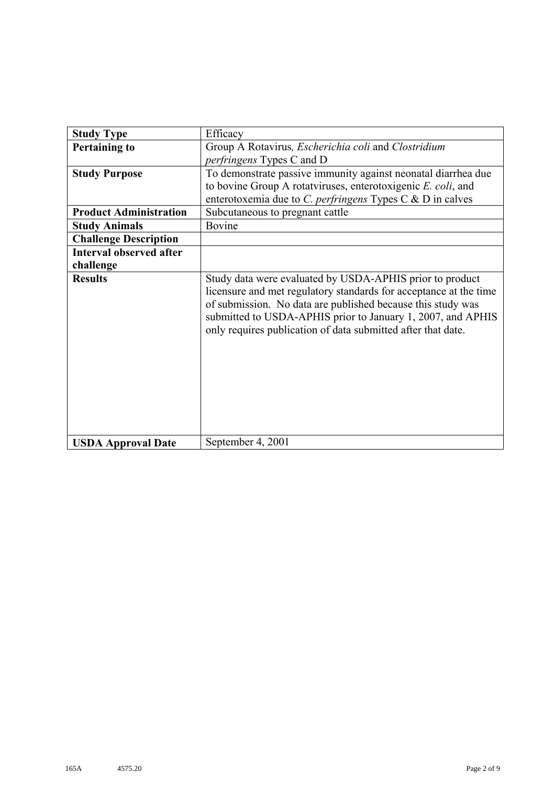| <b>Study Type</b>              | Efficacy                                                                                                                                                                                                                                                                                                                    |
|--------------------------------|-----------------------------------------------------------------------------------------------------------------------------------------------------------------------------------------------------------------------------------------------------------------------------------------------------------------------------|
| <b>Pertaining to</b>           | Group A Rotavirus, Escherichia coli and Clostridium                                                                                                                                                                                                                                                                         |
|                                | perfringens Types C and D                                                                                                                                                                                                                                                                                                   |
| <b>Study Purpose</b>           | To demonstrate passive immunity against neonatal diarrhea due                                                                                                                                                                                                                                                               |
|                                | to bovine Group A rotatviruses, enterotoxigenic E. coli, and                                                                                                                                                                                                                                                                |
|                                | enterotoxemia due to C. perfringens Types C & D in calves                                                                                                                                                                                                                                                                   |
| <b>Product Administration</b>  | Subcutaneous to pregnant cattle                                                                                                                                                                                                                                                                                             |
| <b>Study Animals</b>           | Bovine                                                                                                                                                                                                                                                                                                                      |
| <b>Challenge Description</b>   |                                                                                                                                                                                                                                                                                                                             |
| <b>Interval observed after</b> |                                                                                                                                                                                                                                                                                                                             |
| challenge                      |                                                                                                                                                                                                                                                                                                                             |
| <b>Results</b>                 | Study data were evaluated by USDA-APHIS prior to product<br>licensure and met regulatory standards for acceptance at the time<br>of submission. No data are published because this study was<br>submitted to USDA-APHIS prior to January 1, 2007, and APHIS<br>only requires publication of data submitted after that date. |
| <b>USDA Approval Date</b>      | September 4, 2001                                                                                                                                                                                                                                                                                                           |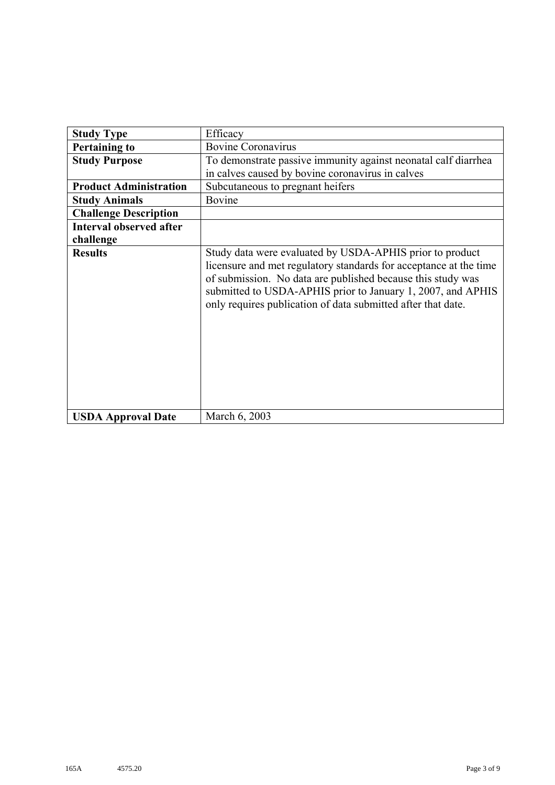| <b>Study Type</b>              | Efficacy                                                                                                                                                                                                                                                                                                                    |
|--------------------------------|-----------------------------------------------------------------------------------------------------------------------------------------------------------------------------------------------------------------------------------------------------------------------------------------------------------------------------|
| <b>Pertaining to</b>           | <b>Bovine Coronavirus</b>                                                                                                                                                                                                                                                                                                   |
| <b>Study Purpose</b>           | To demonstrate passive immunity against neonatal calf diarrhea                                                                                                                                                                                                                                                              |
|                                | in calves caused by bovine coronavirus in calves                                                                                                                                                                                                                                                                            |
| <b>Product Administration</b>  | Subcutaneous to pregnant heifers                                                                                                                                                                                                                                                                                            |
| <b>Study Animals</b>           | Bovine                                                                                                                                                                                                                                                                                                                      |
| <b>Challenge Description</b>   |                                                                                                                                                                                                                                                                                                                             |
| <b>Interval observed after</b> |                                                                                                                                                                                                                                                                                                                             |
| challenge                      |                                                                                                                                                                                                                                                                                                                             |
| <b>Results</b>                 | Study data were evaluated by USDA-APHIS prior to product<br>licensure and met regulatory standards for acceptance at the time<br>of submission. No data are published because this study was<br>submitted to USDA-APHIS prior to January 1, 2007, and APHIS<br>only requires publication of data submitted after that date. |
| <b>USDA Approval Date</b>      | March 6, 2003                                                                                                                                                                                                                                                                                                               |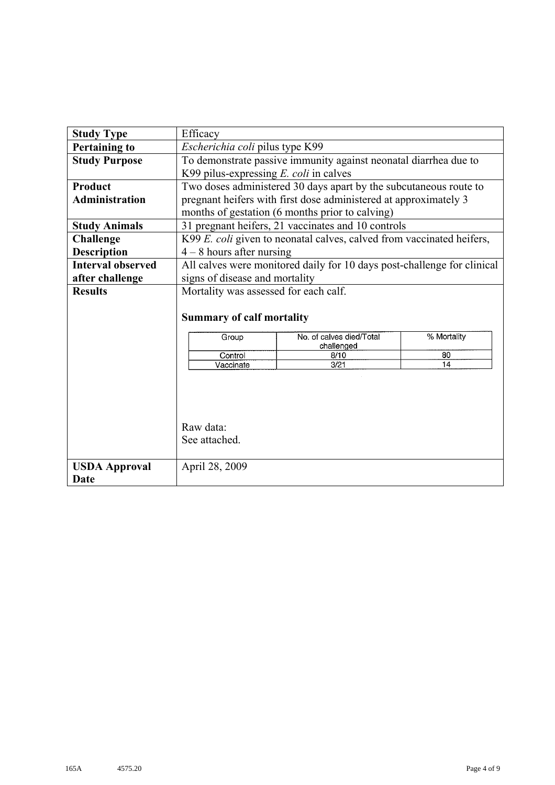| <b>Study Type</b>        | Efficacy                                                                             |                                                                         |    |  |  |  |  |  |
|--------------------------|--------------------------------------------------------------------------------------|-------------------------------------------------------------------------|----|--|--|--|--|--|
| <b>Pertaining to</b>     | Escherichia coli pilus type K99                                                      |                                                                         |    |  |  |  |  |  |
| <b>Study Purpose</b>     | To demonstrate passive immunity against neonatal diarrhea due to                     |                                                                         |    |  |  |  |  |  |
|                          | K99 pilus-expressing $E$ . coli in calves                                            |                                                                         |    |  |  |  |  |  |
| <b>Product</b>           |                                                                                      | Two doses administered 30 days apart by the subcutaneous route to       |    |  |  |  |  |  |
| <b>Administration</b>    |                                                                                      | pregnant heifers with first dose administered at approximately 3        |    |  |  |  |  |  |
|                          | months of gestation (6 months prior to calving)                                      |                                                                         |    |  |  |  |  |  |
| <b>Study Animals</b>     |                                                                                      | 31 pregnant heifers, 21 vaccinates and 10 controls                      |    |  |  |  |  |  |
| <b>Challenge</b>         |                                                                                      | K99 E. coli given to neonatal calves, calved from vaccinated heifers,   |    |  |  |  |  |  |
| <b>Description</b>       | $4 - 8$ hours after nursing                                                          |                                                                         |    |  |  |  |  |  |
| <b>Interval observed</b> |                                                                                      | All calves were monitored daily for 10 days post-challenge for clinical |    |  |  |  |  |  |
| after challenge          | signs of disease and mortality                                                       |                                                                         |    |  |  |  |  |  |
| <b>Results</b>           | Mortality was assessed for each calf.                                                |                                                                         |    |  |  |  |  |  |
|                          | <b>Summary of calf mortality</b><br>% Mortality<br>No. of calves died/Total<br>Group |                                                                         |    |  |  |  |  |  |
|                          | Control                                                                              | challenged<br>8/10                                                      | 80 |  |  |  |  |  |
|                          | Vaccinate                                                                            | 3/21                                                                    | 14 |  |  |  |  |  |
|                          |                                                                                      |                                                                         |    |  |  |  |  |  |
|                          |                                                                                      |                                                                         |    |  |  |  |  |  |
|                          |                                                                                      |                                                                         |    |  |  |  |  |  |
|                          | Raw data:                                                                            |                                                                         |    |  |  |  |  |  |
|                          | See attached.                                                                        |                                                                         |    |  |  |  |  |  |
| <b>USDA Approval</b>     | April 28, 2009                                                                       |                                                                         |    |  |  |  |  |  |
| Date                     |                                                                                      |                                                                         |    |  |  |  |  |  |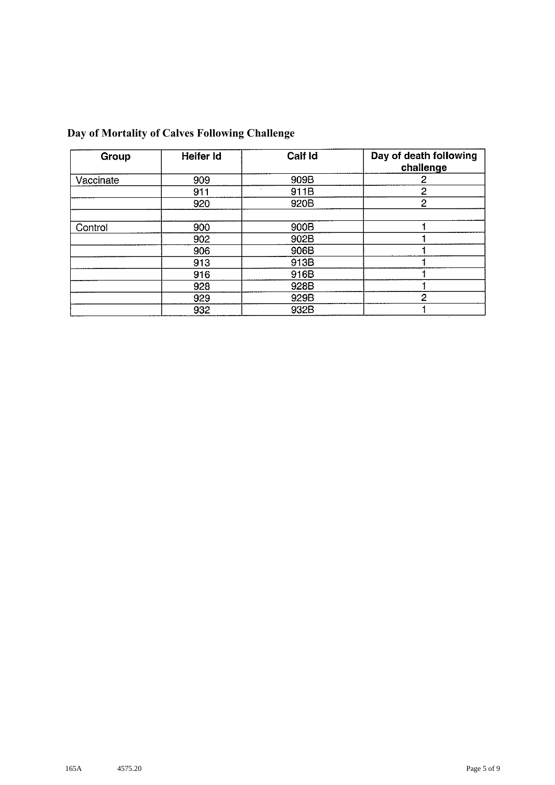| Group     | Heifer Id | <b>Call Id</b> | Day of death following<br>challenge |
|-----------|-----------|----------------|-------------------------------------|
| Vaccinate | 909       | 909B           | 2                                   |
|           | 911       | 911B           | 2                                   |
|           | 920       | 920B           | $\overline{2}$                      |
| Control   | 900       | 900B           |                                     |
|           | 902       | 902B           |                                     |
|           | 906       | 906B           |                                     |
|           | 913       | 913B           |                                     |
|           | 916       | 916B           |                                     |
|           | 928       | 928B           |                                     |
|           | 929       | 929B           | 2                                   |
|           | 932       | 932B           |                                     |

## **Day of Mortality of Calves Following Challenge**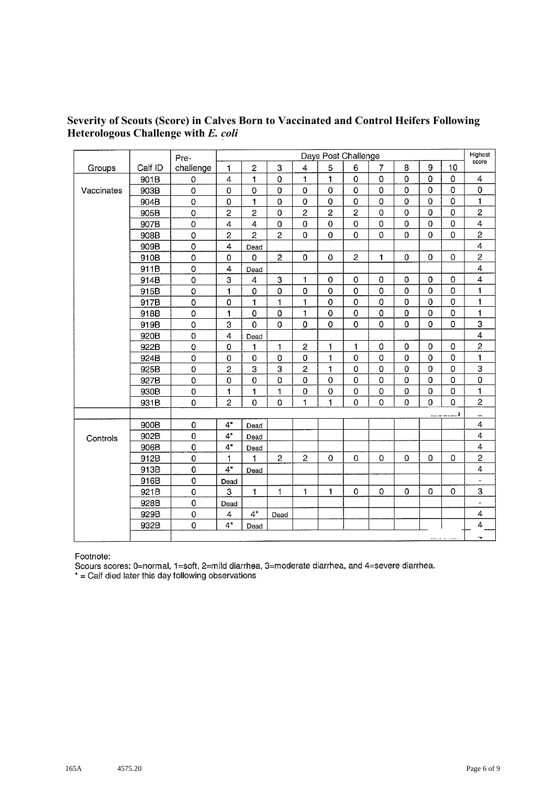### **Severity of Scouts (Score) in Calves Born to Vaccinated and Control Heifers Following Heterologous Challenge with** *E. coli*

|            |         |             | Days Post Challenge     |                         |                           |                |                | Highest             |                |                |             |                |                          |
|------------|---------|-------------|-------------------------|-------------------------|---------------------------|----------------|----------------|---------------------|----------------|----------------|-------------|----------------|--------------------------|
|            |         | Pre-        |                         | 8<br>9                  |                           |                |                |                     |                | score          |             |                |                          |
| Groups     | Calf ID | challenge   | 1                       | $\overline{c}$          | $\ensuremath{\mathsf{3}}$ | $\overline{4}$ | $\overline{5}$ | 6                   | $\overline{7}$ |                |             | 10             |                          |
|            | 901B    | 0           | $\overline{\mathbf{4}}$ | 1                       | $\mathbf 0$               | 1              | $\mathbf{1}$   | $\mathsf{O}\xspace$ | $\bf{0}$       | $\mathbf 0$    | 0           | $\mathbf 0$    | 4                        |
| Vaccinates | 903B    | 0           | 0                       | $\mathbf 0$             | $\mathbf 0$               | 0              | 0              | $\mathsf 0$         | $\mathbf 0$    | $\mathbf 0$    | $\Omega$    | $\mathbf 0$    | $\mathsf 0$              |
|            | 904B    | $\mathbf 0$ | $\mathbf 0$             | 1                       | $\mathbf 0$               | $\mathbf 0$    | $\pmb{0}$      | $\mathbf 0$         | $\mathbf 0$    | $\mathbf 0$    | $\mathbf 0$ | $\mathbf 0$    | $\blacksquare$           |
|            | 905B    | $\mathbf 0$ | $\overline{2}$          | $\overline{c}$          | $\mathbf 0$               | $\overline{2}$ | $\overline{c}$ | $\overline{c}$      | $\bf{0}$       | 0              | 0           | $\mathbf 0$    | 2                        |
|            | 907B    | $\mathbf 0$ | 4                       | $\overline{\mathbf{4}}$ | $\mathbf 0$               | $\mathbf 0$    | $\mathbf 0$    | $\mathbf 0$         | $\mathbf 0$    | $\overline{0}$ | $\mathbf 0$ | $\mathbf 0$    | 4                        |
|            | 908B    | $\mathbf 0$ | $\overline{2}$          | $\overline{2}$          | $\overline{2}$            | $\overline{0}$ | $\overline{0}$ | $\mathbf 0$         | $\mathbf 0$    | $\overline{0}$ | $\mathbf 0$ | $\mathbf 0$    | $\overline{\mathbf{c}}$  |
|            | 909B    | $\circ$     | $\overline{\mathbf{4}}$ | Dead                    |                           |                |                |                     |                |                |             |                | 4                        |
|            | 910B    | $\mathbf 0$ | 0                       | 0                       | $\overline{c}$            | 0              | $\mathbf 0$    | $\overline{c}$      | $\mathbf{1}$   | 0              | 0           | $\Omega$       | $\overline{c}$           |
|            | 911B    | 0           | 4                       | Dead                    |                           |                |                |                     |                |                |             |                | $\overline{4}$           |
|            | 914B    | $\mathbf 0$ | 3                       | 4                       | 3                         | 1              | 0              | $\mathbf 0$         | $\bf{0}$       | 0              | $\Omega$    | 0              | $\overline{\mathbf{4}}$  |
|            | 915B    | 0           | 1                       | $\pmb{0}$               | 0                         | 0              | $\mathbf 0$    | $\mathsf O$         | $\bf{0}$       | $\Omega$       | 0           | $\mathbf 0$    | $\mathbf{1}$             |
|            | 917B    | $\mathbf 0$ | 0                       | 1                       | 1                         | 1              | $\mathbf 0$    | $\mathbf 0$         | $\bf{0}$       | $\overline{0}$ | $\mathbf 0$ | $\mathbf 0$    | 1                        |
|            | 918B    | $\pmb{0}$   | $\mathbf{1}$            | $\mathbf 0$             | $\mathbf 0$               | 1.             | $\mathbf 0$    | $\mathbf 0$         | $\mathbf 0$    | $\Omega$       | $\Omega$    | $\Omega$       | 1                        |
|            | 919B    | $\mathbf 0$ | 3                       | $\overline{0}$          | 0                         | 0              | $\mathbf 0$    | $\overline{0}$      | $\mathbf 0$    | $\Omega$       | $\Omega$    | $\mathbf 0$    | 3                        |
|            | 920B    | $\mathbf 0$ | $\overline{4}$          | Dead                    |                           |                |                |                     |                |                |             |                | $\overline{\mathbf{4}}$  |
|            | 922B    | $\mathbf 0$ | 0                       | 1                       | 1                         | $\overline{c}$ | 1              | 1                   | 0              | 0              | $\mathbf 0$ | $\mathbf 0$    | $\overline{c}$           |
|            | 924B    | $\pmb{0}$   | 0                       | 0                       | 0                         | 0              | 1              | 0                   | $\bf{0}$       | 0              | 0           | $\overline{0}$ | $\mathbf{1}$             |
|            | 925B    | 0           | $\overline{2}$          | 3                       | 3                         | $\overline{c}$ | 1              | 0                   | 0              | 0              | $\mathbf 0$ | $\mathbf 0$    | 3                        |
|            | 927B    | 0           | 0                       | 0                       | 0                         | 0              | $\mathbf 0$    | $\mathbf 0$         | $\mathbf 0$    | 0              | $\mathbf 0$ | 0              | $\pmb{0}$                |
|            | 930B    | 0           | $\mathbf{1}$            | 1                       | 1                         | 0              | 0              | 0                   | 0              | 0              | 0           | 0              | 1                        |
|            | 931B    | 0           | $\overline{2}$          | 0                       | 0                         | 1              | 1              | 0                   | $\Omega$       | $\overline{0}$ | $\Omega$    | $\mathbf 0$    | $\overline{c}$           |
|            |         |             |                         |                         |                           |                |                |                     |                |                |             | <u></u> 1      | -                        |
|            | 900B    | 0           | $4^*$                   | Dead                    |                           |                |                |                     |                |                |             |                | 4                        |
| Controls   | 902B    | 0           | $4^{\star}$             | Dead                    |                           |                |                |                     |                |                |             |                | $\overline{\mathbf{4}}$  |
|            | 906B    | $\mathbf 0$ | $4^{\star}$             | Dead                    |                           |                |                |                     |                |                |             |                | $\overline{\mathbf{4}}$  |
|            | 912B    | 0           | 1                       | 1                       | $\overline{c}$            | 2              | $\mathbf 0$    | 0                   | $\mathbf 0$    | 0              | $\Omega$    | 0              | $\overline{2}$           |
|            | 913B    | 0           | $4^{\star}$             | Dead                    |                           |                |                |                     |                |                |             |                | $\overline{\mathbf{4}}$  |
|            | 916B    | $\mathbf 0$ | Dead                    |                         |                           |                |                |                     |                |                |             |                | $\tilde{\phantom{a}}$    |
|            | 921B    | $\mathbf 0$ | 3                       | $\mathbf{1}$            | 1                         | 1.             | 1              | 0                   | 0              | $\Omega$       | 0           | $\bf{0}$       | 3                        |
|            | 928B    | $\mathbf 0$ | Dead                    |                         |                           |                |                |                     |                |                |             |                |                          |
|            | 929B    | $\mathbf 0$ | 4                       | $4^*$                   | Dead                      |                |                |                     |                |                |             |                | 4                        |
|            | 932B    | 0           | $4^{\star}$             | Dead                    |                           |                |                |                     |                |                |             |                | 4                        |
|            |         |             |                         |                         |                           |                |                |                     |                |                |             |                | $\overline{\phantom{a}}$ |

Footnote:

Scours scores: 0=normal, 1=soft, 2=mild diarrhea, 3=moderate diarrhea, and 4=severe diarrhea.<br>\* = Calf died later this day following observations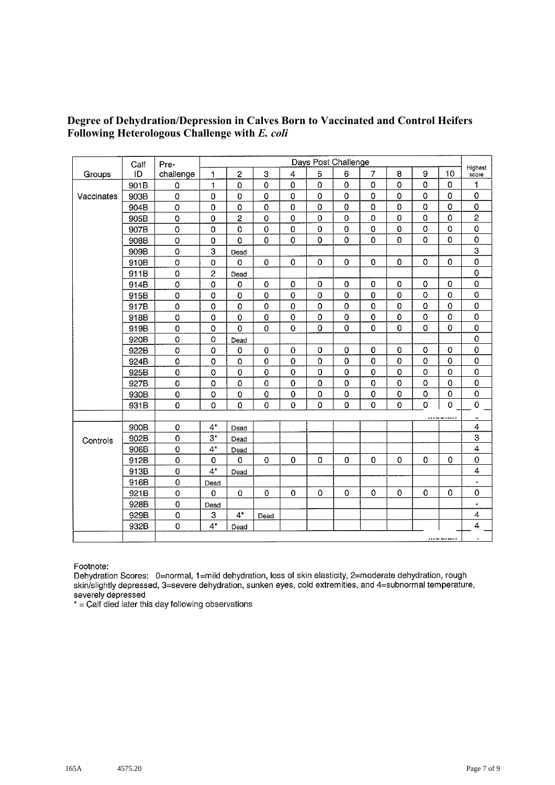#### **Degree of Dehydration/Depression in Calves Born to Vaccinated and Control Heifers Following Heterologous Challenge with** *E. coli*

|            | Calf | Pre-               |                | Days Post Challenge |                     |                |                     |                     |                |             |                |              |                         |
|------------|------|--------------------|----------------|---------------------|---------------------|----------------|---------------------|---------------------|----------------|-------------|----------------|--------------|-------------------------|
| Groups     | ID   | challenge          | 1              | $\overline{c}$      | 3                   | 4              | 5                   | 6                   | $\overline{7}$ | 8           | $\mathbf 9$    | 10           | Highest<br>score        |
|            | 901B | $\mathbf 0$        | $\mathbf{1}$   | $\mathbf 0$         | $\mathbf 0$         | $\circ$        | $\mathbf 0$         | $\mathbf 0$         | $\overline{0}$ | 0           | $\mathbf 0$    | $\mathbf 0$  | 1                       |
| Vaccinates | 903B | $\pmb{0}$          | 0              | $\mathbf 0$         | 0                   | 0              | 0                   | $\mathbf 0$         | $\mathbf 0$    | 0           | $\mathbf 0$    | 0            | $\mathbf 0$             |
|            | 904B | $\pmb{0}$          | 0              | $\mathbf 0$         | 0                   | 0              | $\mathbf 0$         | $\mathbf 0$         | $\mathbf 0$    | $\mathbf 0$ | $\mathbf 0$    | 0            | $\pmb{0}$               |
|            | 905B | $\mathbf 0$        | 0              | $\overline{2}$      | 0                   | 0              | 0                   | $\pmb{0}$           | 0              | 0           | $\mathbf 0$    | 0            | $\overline{2}$          |
|            | 907B | $\mathbf 0$        | 0              | $\overline{0}$      | $\mathsf{O}\xspace$ | 0              | 0                   | $\mathbf 0$         | $\mathbf 0$    | $\pmb{0}$   | $\mathbf 0$    | 0            | $\mathbf 0$             |
|            | 908B | $\mathbf 0$        | $\mathbf 0$    | $\mathbf 0$         | $\mathbf 0$         | 0              | 0                   | $\mathbf 0$         | $\mathbf 0$    | 0           | $\mathbf 0$    | $\pmb{0}$    | $\pmb{\mathsf{O}}$      |
|            | 909B | $\pmb{0}$          | 3              | Dead                |                     |                |                     |                     |                |             |                |              | 3                       |
|            | 910B | $\pmb{0}$          | $\mathbf 0$    | $\mathbf 0$         | $\mathbf 0$         | 0              | $\mathsf{O}\xspace$ | $\mathbf 0$         | $\pmb{0}$      | 0           | $\mathbf 0$    | $\mathbf 0$  | $\pmb{\mathsf{O}}$      |
|            | 911B | $\pmb{0}$          | $\overline{2}$ | Dead                |                     |                |                     |                     |                |             |                |              | $\mathbf 0$             |
|            | 914B | $\pmb{0}$          | $\pmb{0}$      | 0                   | $\pmb{0}$           | $\mathbf 0$    | 0                   | 0                   | 0              | 0           | $\mathbf 0$    | 0            | $\mathbf 0$             |
|            | 915B | $\pmb{0}$          | 0              | $\mathbf 0$         | 0                   | $\mathbf 0$    | $\pmb{0}$           | $\mathbf 0$         | $\mathbf 0$    | $\pmb{0}$   | $\pmb{0}$      | $\pmb{0}$    | $\pmb{0}$               |
|            | 917B | $\pmb{0}$          | $\mathbf 0$    | $\mathbf 0$         | 0                   | 0              | 0                   | $\mathsf{O}\xspace$ | $\bf{0}$       | 0           | $\mathbf 0$    | 0            | $\pmb{0}$               |
|            | 918B | $\mathbf 0$        | $\mathbf 0$    | $\mathbf 0$         | 0                   | $\mathbf 0$    | 0                   | $\mathbf 0$         | $\mathbf 0$    | $\pmb{0}$   | $\mathbf 0$    | 0            | $\mathbf 0$             |
|            | 919B | $\pmb{0}$          | 0              | $\mathbf 0$         | 0                   | $\overline{0}$ | 0                   | $\mathbf 0$         | $\mathbf 0$    | 0           | $\mathbf 0$    | 0            | $\pmb{0}$               |
|            | 920B | $\pmb{\mathsf{O}}$ | 0              | Dead                |                     |                |                     |                     |                |             |                |              | $\mathbf 0$             |
|            | 922B | $\mathbf 0$        | $\mathbf 0$    | $\mathbf 0$         | $\pmb{0}$           | $\pmb{0}$      | 0                   | $\pmb{0}$           | $\pmb{0}$      | 0           | $\mathbf 0$    | 0            | 0                       |
|            | 924B | $\mathbf 0$        | $\mathbf 0$    | $\mathbf 0$         | $\bf{0}$            | $\mathbf 0$    | 0                   | $\mathbf 0$         | $\mathbf 0$    | 0           | $\mathbf 0$    | $\mathbf 0$  | $\pmb{0}$               |
|            | 925B | $\mathbf 0$        | $\mathbf 0$    | $\mathbf 0$         | $\pmb{\mathsf{O}}$  | $\mathbf 0$    | $\mathbf 0$         | $\mathbf 0$         | $\mathbf 0$    | $\mathbf 0$ | $\mathbf 0$    | $\mathbf 0$  | $\mathbf 0$             |
|            | 927B | $\mathbf 0$        | $\mathbf 0$    | $\mathbf 0$         | $\pmb{0}$           | 0              | 0                   | $\mathbf 0$         | $\mathbf 0$    | $\mathbf 0$ | $\mathbf 0$    | 0            | $\pmb{\mathsf{O}}$      |
|            | 930B | $\pmb{0}$          | $\pmb{0}$      | $\mathbf 0$         | $\pmb{0}$           | $\mathbf 0$    | 0                   | 0                   | $\mathbf 0$    | 0           | $\mathbf 0$    | 0            | $\pmb{0}$               |
|            | 931B | $\mathbf 0$        | $\mathbf 0$    | $\mathbf 0$         | 0                   | 0              | 0                   | 0                   | $\mathbf 0$    | 0           | $\overline{0}$ | 0            | $\pmb{0}$               |
|            |      |                    |                |                     |                     |                |                     |                     |                |             |                |              | ۰                       |
|            | 900B | $\mathbf 0$        | $4^*$          | Dead                |                     |                |                     |                     |                |             |                |              | $\overline{\mathbf{4}}$ |
| Controls   | 902B | $\mathbf 0$        | $3^{\star}$    | Dead                |                     |                |                     |                     |                |             |                |              | 3                       |
|            | 906B | $\pmb{\mathsf{O}}$ | $4^*$          | Dead                |                     |                |                     |                     |                |             |                |              | 4                       |
|            | 912B | $\mathbf 0$        | 0              | $\mathbf 0$         | 0                   | $\mathbf 0$    | $\mathbf 0$         | $\mathbf 0$         | $\mathbf 0$    | $\pmb{0}$   | $\mathbf 0$    | 0            | $\mathbf 0$             |
|            | 913B | $\mathbf 0$        | $4^*$          | Dead                |                     |                |                     |                     |                |             |                |              | $\overline{\mathbf{4}}$ |
|            | 916B | $\mathbf 0$        | Dead           |                     |                     |                |                     |                     |                |             |                |              | $\blacksquare$          |
|            | 921B | $\mathbf 0$        | 0              | $\mathbf 0$         | 0                   | $\Omega$       | 0                   | 0                   | $\Omega$       | 0           | $\Omega$       | 0            | $\mathbf 0$             |
|            | 928B | $\mathbf 0$        | Dead           |                     |                     |                |                     |                     |                |             |                |              | $\blacksquare$          |
|            | 929B | $\mathbf 0$        | 3              | $4^*$               | Dead                |                |                     |                     |                |             |                |              | $\overline{\mathbf{4}}$ |
|            | 932B | $\mathbf 0$        | $4^{\star}$    | Dead                |                     |                |                     |                     |                |             |                |              | 4                       |
|            |      |                    |                |                     |                     |                |                     |                     |                |             |                | <u> – </u> 1 | $\bullet$               |

Footnote:

Dehydration Scores: 0=normal, 1=mild dehydration, loss of skin elasticity, 2=moderate dehydration, rough skin/slightly depressed, 3=severe dehydration, sunken eyes, cold extremities, and 4=subnormal temperature, severely depressed

 $*$  = Calf died later this day following observations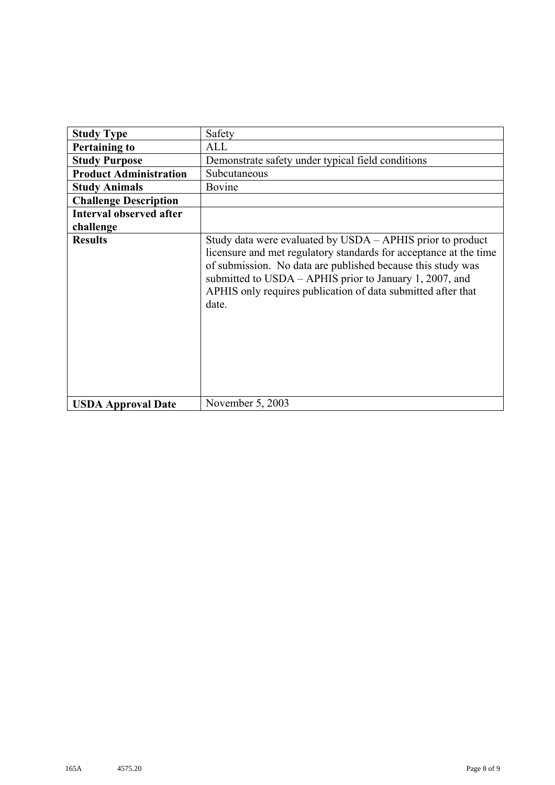| <b>Study Type</b>              | Safety                                                                                                                                                                                                                                                                                                                             |
|--------------------------------|------------------------------------------------------------------------------------------------------------------------------------------------------------------------------------------------------------------------------------------------------------------------------------------------------------------------------------|
| <b>Pertaining to</b>           | ALL                                                                                                                                                                                                                                                                                                                                |
| <b>Study Purpose</b>           | Demonstrate safety under typical field conditions                                                                                                                                                                                                                                                                                  |
| <b>Product Administration</b>  | Subcutaneous                                                                                                                                                                                                                                                                                                                       |
| <b>Study Animals</b>           | Bovine                                                                                                                                                                                                                                                                                                                             |
| <b>Challenge Description</b>   |                                                                                                                                                                                                                                                                                                                                    |
| <b>Interval observed after</b> |                                                                                                                                                                                                                                                                                                                                    |
| challenge                      |                                                                                                                                                                                                                                                                                                                                    |
| <b>Results</b>                 | Study data were evaluated by USDA - APHIS prior to product<br>licensure and met regulatory standards for acceptance at the time<br>of submission. No data are published because this study was<br>submitted to USDA – APHIS prior to January 1, 2007, and<br>APHIS only requires publication of data submitted after that<br>date. |
| <b>USDA Approval Date</b>      | November 5, 2003                                                                                                                                                                                                                                                                                                                   |